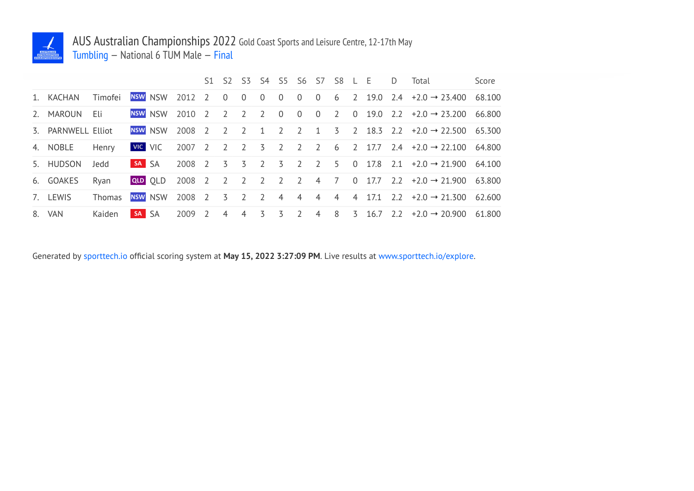

## AUS Australian Championships 2022 Gold Coast Sports and Leisure Centre, 12-17th May Tumbling — National 6 TUM Male — Final

|                    |               |       |                |        |                |                |                |                |                |                |                | S1 S2 S3 S4 S5 S6 S7 S8 L E |   |          | D. | Total                                                                               | Score  |
|--------------------|---------------|-------|----------------|--------|----------------|----------------|----------------|----------------|----------------|----------------|----------------|-----------------------------|---|----------|----|-------------------------------------------------------------------------------------|--------|
| 1. KACHAN          | Timofei       |       | NSW NSW        | 2012 2 |                | $\overline{0}$ | $\overline{0}$ | $\overline{0}$ | $\overline{0}$ | $\overline{0}$ | $\overline{0}$ |                             |   |          |    | 6 2 19.0 2.4 $\div 2.0 \rightarrow 23.400$                                          | 68.100 |
| 2. MAROUN          | - Eli         |       | <b>NSW NSW</b> | 2010 2 |                | $\overline{2}$ |                | 2 2 0 0        |                |                | $\overline{0}$ |                             |   |          |    | 2 0 19.0 2.2 $+2.0 \rightarrow 23.200$ 66.800                                       |        |
| 3. PARNWELL Elliot |               |       | <b>NSW NSW</b> | 2008 2 |                | $\overline{2}$ | $\overline{2}$ | $\overline{1}$ | $\overline{2}$ | $\overline{2}$ |                |                             |   |          |    | $1 \quad 3 \quad 2 \quad 18.3 \quad 2.2 \quad +2.0 \rightarrow 22.500 \quad 65.300$ |        |
| 4. NOBLE           | Henry         |       | VIC VIC        | 2007 2 |                | $\overline{2}$ |                |                |                |                |                |                             |   |          |    | 2 3 2 2 2 6 2 17.7 2.4 $\div 2.0 \rightarrow 22.100$ 64.800                         |        |
| 5. HUDSON          | Jedd          | SA SA |                | 2008 2 |                | $\overline{3}$ | $\overline{5}$ |                |                | 2 3 2 2 5      |                |                             |   |          |    | 0 17.8 2.1 $+2.0 \rightarrow 21.900$ 64.100                                         |        |
| 6. GOAKES          | Rvan          |       | QLD OLD        | 2008 2 |                | 2 2 2 2 2      |                |                |                |                |                | 4 7                         |   |          |    | 0 17.7 2.2 $+2.0 \rightarrow 21.900$ 63.800                                         |        |
| 7. LEWIS           | <b>Thomas</b> |       | <b>NSW NSW</b> | 2008 2 |                | $\overline{5}$ | $\overline{2}$ | $\overline{2}$ | $\overline{4}$ |                |                | 4 4 4                       |   | 4 17.1   |    | $2.2 + 2.0 \rightarrow 21.300$ 62.600                                               |        |
| 8. VAN             | Kaiden        | SA SA |                | 2009   | $\overline{2}$ | $\overline{4}$ | 4              | 3              | $\overline{5}$ | $\overline{2}$ | $\overline{4}$ | 8                           | 3 | 16.7 2.2 |    | $+2.0 \rightarrow 20.900$                                                           | 61.800 |

Generated by sporttech.io official scoring system at **May 15, 2022 3:27:09 PM**. Live results at www.sporttech.io/explore.